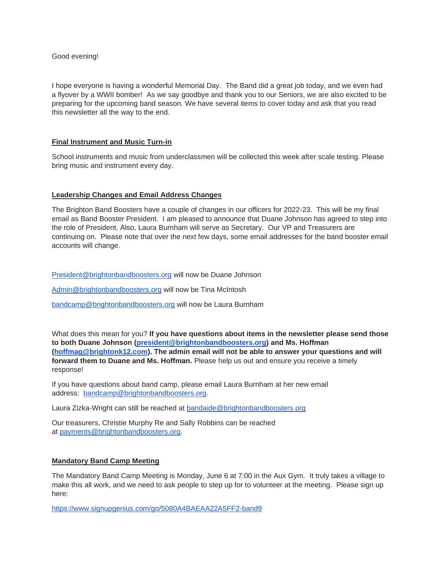## Good evening!

I hope everyone is having a wonderful Memorial Day. The Band did a great job today, and we even had a flyover by a WWII bomber! As we say goodbye and thank you to our Seniors, we are also excited to be preparing for the upcoming band season. We have several items to cover today and ask that you read this newsletter all the way to the end.

## **Final Instrument and Music Turn-in**

School instruments and music from underclassmen will be collected this week after scale testing. Please bring music and instrument every day.

## **Leadership Changes and Email Address Changes**

The Brighton Band Boosters have a couple of changes in our officers for 2022-23. This will be my final email as Band Booster President. I am pleased to announce that Duane Johnson has agreed to step into the role of President. Also, Laura Burnham will serve as Secretary. Our VP and Treasurers are continuing on. Please note that over the next few days, some email addresses for the band booster email accounts will change.

[President@brightonbandboosters.org](mailto:President@brightonbandboosters.org) will now be Duane Johnson

[Admin@brightonbandboosters.org](mailto:Admin@brightonbandboosters.org) will now be Tina McIntosh

[bandcamp@brightonbandboosters.org](mailto:bandcamp@brightonbandboosters.org) will now be Laura Burnham

What does this mean for you? **If you have questions about items in the newsletter please send those to both Duane Johnson [\(president@brightonbandboosters.org\)](mailto:president@brightonbandboosters.org) and Ms. Hoffman [\(hoffmag@brightonk12.com\)](mailto:hoffmag@brightonk12.com). The admin email will not be able to answer your questions and will forward them to Duane and Ms. Hoffman.** Please help us out and ensure you receive a timely response!

If you have questions about band camp, please email Laura Burnham at her new email address: [bandcamp@brightonbandboosters.org.](mailto:bandcamp@brightonbandboosters.org)

Laura Zizka-Wright can still be reached at [bandaide@brightonbandboosters.org](mailto:bandaide@brightonbandboosters.org)

Our treasurers, Christie Murphy Re and Sally Robbins can be reached at [payments@brightonbandboosters.org.](mailto:payments@brightonbandboosters.org)

#### **Mandatory Band Camp Meeting**

The Mandatory Band Camp Meeting is Monday, June 6 at 7:00 in the Aux Gym. It truly takes a village to make this all work, and we need to ask people to step up for to volunteer at the meeting. Please sign up here:

<https://www.signupgenius.com/go/5080A4BAEAA22A5FF2-band9>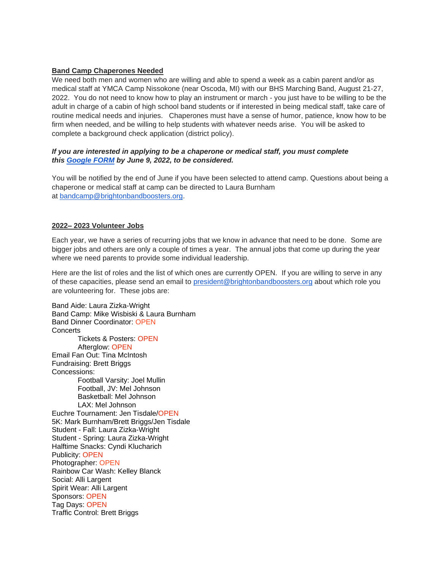# **Band Camp Chaperones Needed**

We need both men and women who are willing and able to spend a week as a cabin parent and/or as medical staff at YMCA Camp Nissokone (near Oscoda, MI) with our BHS Marching Band, August 21-27, 2022. You do not need to know how to play an instrument or march - you just have to be willing to be the adult in charge of a cabin of high school band students or if interested in being medical staff, take care of routine medical needs and injuries. Chaperones must have a sense of humor, patience, know how to be firm when needed, and be willing to help students with whatever needs arise. You will be asked to complete a background check application (district policy).

## *If you are interested in applying to be a chaperone or medical staff, you must complete this [Google FORM](https://docs.google.com/forms/d/e/1FAIpQLSdGRFnLDqFGnVJBzZmWS1UWXMXUia6pYpRBXHqNHOOEA95Rjw/viewform?usp=sf_link) by June 9, 2022, to be considered.*

You will be notified by the end of June if you have been selected to attend camp. Questions about being a chaperone or medical staff at camp can be directed to Laura Burnham at [bandcamp@brightonbandboosters.org.](mailto:bandcamp@brightonbandboosters.org)

## **2022– 2023 Volunteer Jobs**

Each year, we have a series of recurring jobs that we know in advance that need to be done. Some are bigger jobs and others are only a couple of times a year. The annual jobs that come up during the year where we need parents to provide some individual leadership.

Here are the list of roles and the list of which ones are currently OPEN. If you are willing to serve in any of these capacities, please send an email to [president@brightonbandboosters.org](mailto:president@brightonbandboosters.org) about which role you are volunteering for. These jobs are:

Band Aide: Laura Zizka-Wright Band Camp: Mike Wisbiski & Laura Burnham Band Dinner Coordinator: OPEN **Concerts** Tickets & Posters: OPEN Afterglow: OPEN Email Fan Out: Tina McIntosh Fundraising: Brett Briggs Concessions: Football Varsity: Joel Mullin Football, JV: Mel Johnson Basketball: Mel Johnson LAX: Mel Johnson Euchre Tournament: Jen Tisdale/OPEN 5K: Mark Burnham/Brett Briggs/Jen Tisdale Student - Fall: Laura Zizka-Wright Student - Spring: Laura Zizka-Wright Halftime Snacks: Cyndi Klucharich Publicity: OPEN Photographer: OPEN Rainbow Car Wash: Kelley Blanck Social: Alli Largent Spirit Wear: Alli Largent Sponsors: OPEN Tag Days: OPEN Traffic Control: Brett Briggs